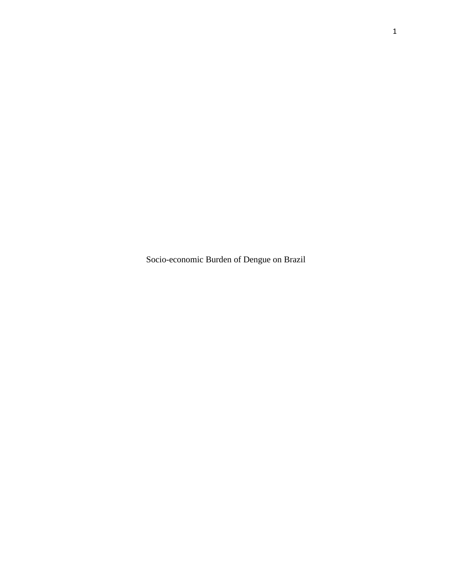Socio-economic Burden of Dengue on Brazil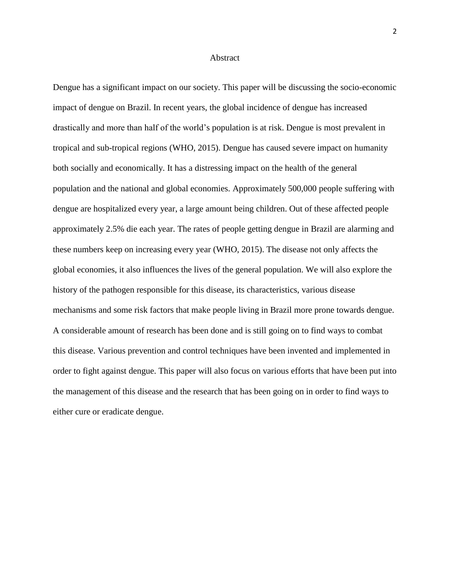#### Abstract

Dengue has a significant impact on our society. This paper will be discussing the socio-economic impact of dengue on Brazil. In recent years, the global incidence of dengue has increased drastically and more than half of the world's population is at risk. Dengue is most prevalent in tropical and sub-tropical regions (WHO, 2015). Dengue has caused severe impact on humanity both socially and economically. It has a distressing impact on the health of the general population and the national and global economies. Approximately 500,000 people suffering with dengue are hospitalized every year, a large amount being children. Out of these affected people approximately 2.5% die each year. The rates of people getting dengue in Brazil are alarming and these numbers keep on increasing every year (WHO, 2015). The disease not only affects the global economies, it also influences the lives of the general population. We will also explore the history of the pathogen responsible for this disease, its characteristics, various disease mechanisms and some risk factors that make people living in Brazil more prone towards dengue. A considerable amount of research has been done and is still going on to find ways to combat this disease. Various prevention and control techniques have been invented and implemented in order to fight against dengue. This paper will also focus on various efforts that have been put into the management of this disease and the research that has been going on in order to find ways to either cure or eradicate dengue.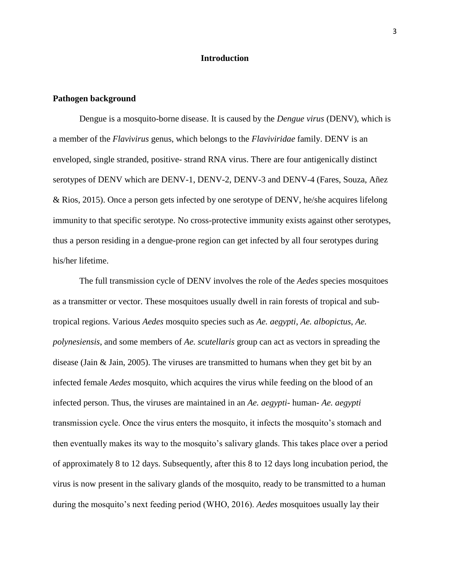# **Introduction**

## **Pathogen background**

Dengue is a mosquito-borne disease. It is caused by the *Dengue virus* (DENV), which is a member of the *Flavivirus* genus, which belongs to the *Flaviviridae* family. DENV is an enveloped, single stranded, positive- strand RNA virus. There are four antigenically distinct serotypes of DENV which are DENV-1, DENV-2, DENV-3 and DENV-4 (Fares, Souza, Añez & Rios, 2015). Once a person gets infected by one serotype of DENV, he/she acquires lifelong immunity to that specific serotype. No cross-protective immunity exists against other serotypes, thus a person residing in a dengue-prone region can get infected by all four serotypes during his/her lifetime.

The full transmission cycle of DENV involves the role of the *Aedes* species mosquitoes as a transmitter or vector. These mosquitoes usually dwell in rain forests of tropical and subtropical regions. Various *Aedes* mosquito species such as *Ae. aegypti*, *Ae. albopictus*, *Ae. polynesiensis*, and some members of *Ae. scutellaris* group can act as vectors in spreading the disease (Jain  $\&$  Jain, 2005). The viruses are transmitted to humans when they get bit by an infected female *Aedes* mosquito, which acquires the virus while feeding on the blood of an infected person. Thus, the viruses are maintained in an *Ae. aegypti*- human- *Ae. aegypti*  transmission cycle. Once the virus enters the mosquito, it infects the mosquito's stomach and then eventually makes its way to the mosquito's salivary glands. This takes place over a period of approximately 8 to 12 days. Subsequently, after this 8 to 12 days long incubation period, the virus is now present in the salivary glands of the mosquito, ready to be transmitted to a human during the mosquito's next feeding period (WHO, 2016). *Aedes* mosquitoes usually lay their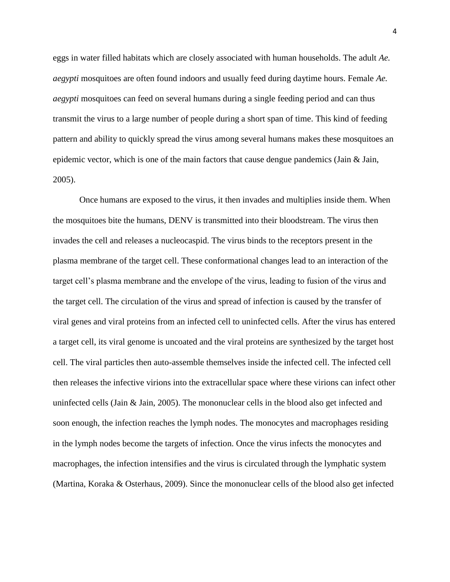eggs in water filled habitats which are closely associated with human households. The adult *Ae. aegypti* mosquitoes are often found indoors and usually feed during daytime hours. Female *Ae. aegypti* mosquitoes can feed on several humans during a single feeding period and can thus transmit the virus to a large number of people during a short span of time. This kind of feeding pattern and ability to quickly spread the virus among several humans makes these mosquitoes an epidemic vector, which is one of the main factors that cause dengue pandemics (Jain  $\&$  Jain, 2005).

Once humans are exposed to the virus, it then invades and multiplies inside them. When the mosquitoes bite the humans, DENV is transmitted into their bloodstream. The virus then invades the cell and releases a nucleocaspid. The virus binds to the receptors present in the plasma membrane of the target cell. These conformational changes lead to an interaction of the target cell's plasma membrane and the envelope of the virus, leading to fusion of the virus and the target cell. The circulation of the virus and spread of infection is caused by the transfer of viral genes and viral proteins from an infected cell to uninfected cells. After the virus has entered a target cell, its viral genome is uncoated and the viral proteins are synthesized by the target host cell. The viral particles then auto-assemble themselves inside the infected cell. The infected cell then releases the infective virions into the extracellular space where these virions can infect other uninfected cells (Jain & Jain, 2005). The mononuclear cells in the blood also get infected and soon enough, the infection reaches the lymph nodes. The monocytes and macrophages residing in the lymph nodes become the targets of infection. Once the virus infects the monocytes and macrophages, the infection intensifies and the virus is circulated through the lymphatic system (Martina, Koraka & Osterhaus, 2009). Since the mononuclear cells of the blood also get infected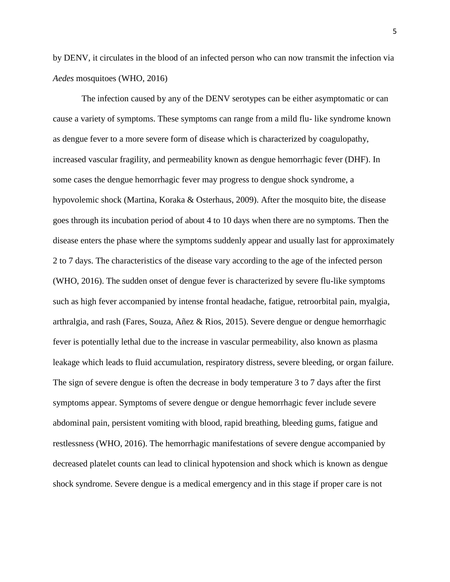by DENV, it circulates in the blood of an infected person who can now transmit the infection via *Aedes* mosquitoes (WHO, 2016)

The infection caused by any of the DENV serotypes can be either asymptomatic or can cause a variety of symptoms. These symptoms can range from a mild flu- like syndrome known as dengue fever to a more severe form of disease which is characterized by coagulopathy, increased vascular fragility, and permeability known as dengue hemorrhagic fever (DHF). In some cases the dengue hemorrhagic fever may progress to dengue shock syndrome, a hypovolemic shock (Martina, Koraka & Osterhaus, 2009). After the mosquito bite, the disease goes through its incubation period of about 4 to 10 days when there are no symptoms. Then the disease enters the phase where the symptoms suddenly appear and usually last for approximately 2 to 7 days. The characteristics of the disease vary according to the age of the infected person (WHO, 2016). The sudden onset of dengue fever is characterized by severe flu-like symptoms such as high fever accompanied by intense frontal headache, fatigue, retroorbital pain, myalgia, arthralgia, and rash (Fares, Souza, Añez & Rios, 2015). Severe dengue or dengue hemorrhagic fever is potentially lethal due to the increase in vascular permeability, also known as plasma leakage which leads to fluid accumulation, respiratory distress, severe bleeding, or organ failure. The sign of severe dengue is often the decrease in body temperature 3 to 7 days after the first symptoms appear. Symptoms of severe dengue or dengue hemorrhagic fever include severe abdominal pain, persistent vomiting with blood, rapid breathing, bleeding gums, fatigue and restlessness (WHO, 2016). The hemorrhagic manifestations of severe dengue accompanied by decreased platelet counts can lead to clinical hypotension and shock which is known as dengue shock syndrome. Severe dengue is a medical emergency and in this stage if proper care is not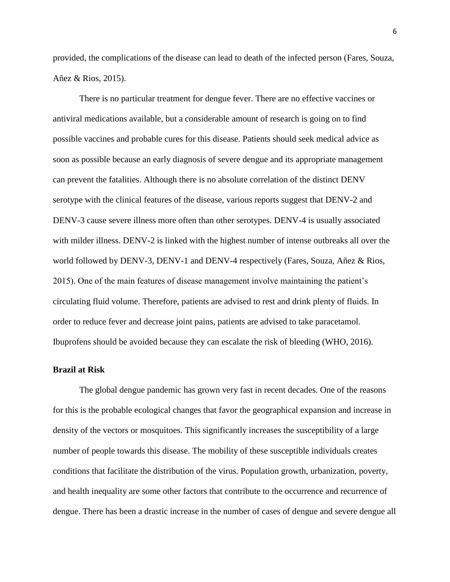provided, the complications of the disease can lead to death of the infected person (Fares, Souza, Añez & Rios, 2015).

There is no particular treatment for dengue fever. There are no effective vaccines or antiviral medications available, but a considerable amount of research is going on to find possible vaccines and probable cures for this disease. Patients should seek medical advice as soon as possible because an early diagnosis of severe dengue and its appropriate management can prevent the fatalities. Although there is no absolute correlation of the distinct DENV serotype with the clinical features of the disease, various reports suggest that DENV-2 and DENV-3 cause severe illness more often than other serotypes. DENV-4 is usually associated with milder illness. DENV-2 is linked with the highest number of intense outbreaks all over the world followed by DENV-3, DENV-1 and DENV-4 respectively (Fares, Souza, Añez & Rios, 2015). One of the main features of disease management involve maintaining the patient's circulating fluid volume. Therefore, patients are advised to rest and drink plenty of fluids. In order to reduce fever and decrease joint pains, patients are advised to take paracetamol. Ibuprofens should be avoided because they can escalate the risk of bleeding (WHO, 2016).

# **Brazil at Risk**

The global dengue pandemic has grown very fast in recent decades. One of the reasons for this is the probable ecological changes that favor the geographical expansion and increase in density of the vectors or mosquitoes. This significantly increases the susceptibility of a large number of people towards this disease. The mobility of these susceptible individuals creates conditions that facilitate the distribution of the virus. Population growth, urbanization, poverty, and health inequality are some other factors that contribute to the occurrence and recurrence of dengue. There has been a drastic increase in the number of cases of dengue and severe dengue all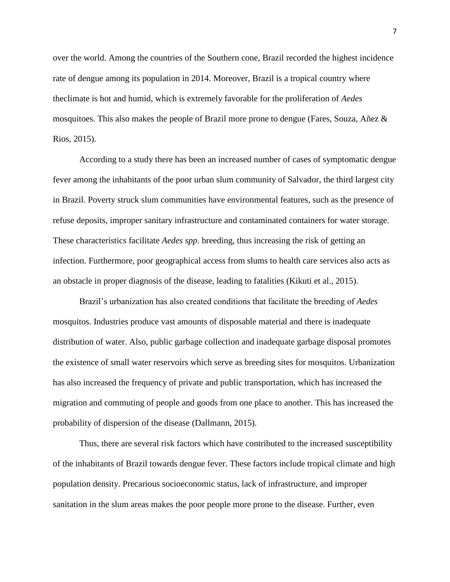over the world. Among the countries of the Southern cone, Brazil recorded the highest incidence rate of dengue among its population in 2014. Moreover, Brazil is a tropical country where theclimate is hot and humid, which is extremely favorable for the proliferation of *Aedes*  mosquitoes. This also makes the people of Brazil more prone to dengue (Fares, Souza, Añez & Rios, 2015).

According to a study there has been an increased number of cases of symptomatic dengue fever among the inhabitants of the poor urban slum community of Salvador, the third largest city in Brazil. Poverty struck slum communities have environmental features, such as the presence of refuse deposits, improper sanitary infrastructure and contaminated containers for water storage. These characteristics facilitate *Aedes spp*. breeding, thus increasing the risk of getting an infection. Furthermore, poor geographical access from slums to health care services also acts as an obstacle in proper diagnosis of the disease, leading to fatalities (Kikuti et al., 2015).

Brazil's urbanization has also created conditions that facilitate the breeding of *Aedes*  mosquitos. Industries produce vast amounts of disposable material and there is inadequate distribution of water. Also, public garbage collection and inadequate garbage disposal promotes the existence of small water reservoirs which serve as breeding sites for mosquitos. Urbanization has also increased the frequency of private and public transportation, which has increased the migration and commuting of people and goods from one place to another. This has increased the probability of dispersion of the disease (Dallmann, 2015).

Thus, there are several risk factors which have contributed to the increased susceptibility of the inhabitants of Brazil towards dengue fever. These factors include tropical climate and high population density. Precarious socioeconomic status, lack of infrastructure, and improper sanitation in the slum areas makes the poor people more prone to the disease. Further, even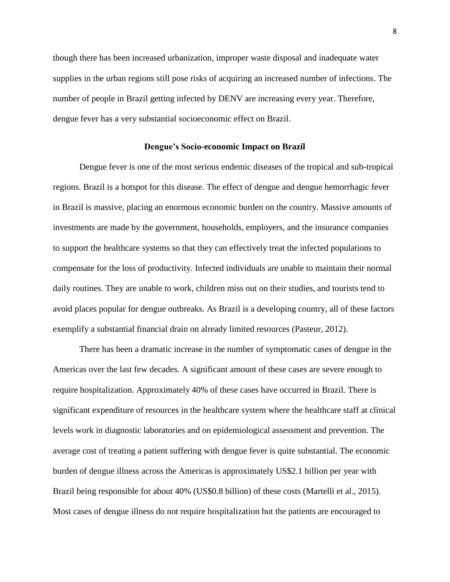though there has been increased urbanization, improper waste disposal and inadequate water supplies in the urban regions still pose risks of acquiring an increased number of infections. The number of people in Brazil getting infected by DENV are increasing every year. Therefore, dengue fever has a very substantial socioeconomic effect on Brazil.

## **Dengue's Socio-economic Impact on Brazil**

Dengue fever is one of the most serious endemic diseases of the tropical and sub-tropical regions. Brazil is a hotspot for this disease. The effect of dengue and dengue hemorrhagic fever in Brazil is massive, placing an enormous economic burden on the country. Massive amounts of investments are made by the government, households, employers, and the insurance companies to support the healthcare systems so that they can effectively treat the infected populations to compensate for the loss of productivity. Infected individuals are unable to maintain their normal daily routines. They are unable to work, children miss out on their studies, and tourists tend to avoid places popular for dengue outbreaks. As Brazil is a developing country, all of these factors exemplify a substantial financial drain on already limited resources (Pasteur, 2012).

There has been a dramatic increase in the number of symptomatic cases of dengue in the Americas over the last few decades. A significant amount of these cases are severe enough to require hospitalization. Approximately 40% of these cases have occurred in Brazil. There is significant expenditure of resources in the healthcare system where the healthcare staff at clinical levels work in diagnostic laboratories and on epidemiological assessment and prevention. The average cost of treating a patient suffering with dengue fever is quite substantial. The economic burden of dengue illness across the Americas is approximately US\$2.1 billion per year with Brazil being responsible for about 40% (US\$0.8 billion) of these costs (Martelli et al., 2015). Most cases of dengue illness do not require hospitalization but the patients are encouraged to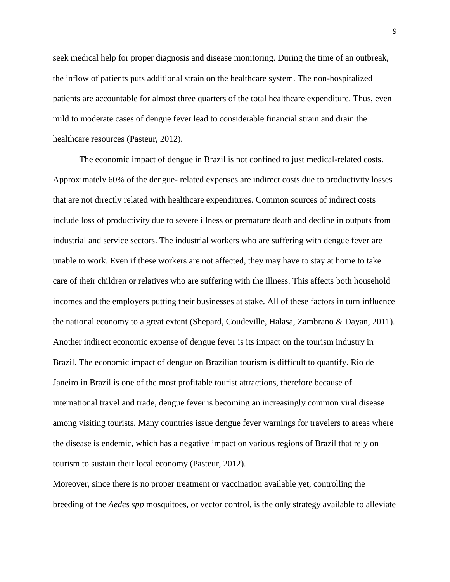seek medical help for proper diagnosis and disease monitoring. During the time of an outbreak, the inflow of patients puts additional strain on the healthcare system. The non-hospitalized patients are accountable for almost three quarters of the total healthcare expenditure. Thus, even mild to moderate cases of dengue fever lead to considerable financial strain and drain the healthcare resources (Pasteur, 2012).

The economic impact of dengue in Brazil is not confined to just medical-related costs. Approximately 60% of the dengue- related expenses are indirect costs due to productivity losses that are not directly related with healthcare expenditures. Common sources of indirect costs include loss of productivity due to severe illness or premature death and decline in outputs from industrial and service sectors. The industrial workers who are suffering with dengue fever are unable to work. Even if these workers are not affected, they may have to stay at home to take care of their children or relatives who are suffering with the illness. This affects both household incomes and the employers putting their businesses at stake. All of these factors in turn influence the national economy to a great extent (Shepard, Coudeville, Halasa, Zambrano & Dayan, 2011). Another indirect economic expense of dengue fever is its impact on the tourism industry in Brazil. The economic impact of dengue on Brazilian tourism is difficult to quantify. Rio de Janeiro in Brazil is one of the most profitable tourist attractions, therefore because of international travel and trade, dengue fever is becoming an increasingly common viral disease among visiting tourists. Many countries issue dengue fever warnings for travelers to areas where the disease is endemic, which has a negative impact on various regions of Brazil that rely on tourism to sustain their local economy (Pasteur, 2012).

Moreover, since there is no proper treatment or vaccination available yet, controlling the breeding of the *Aedes spp* mosquitoes, or vector control, is the only strategy available to alleviate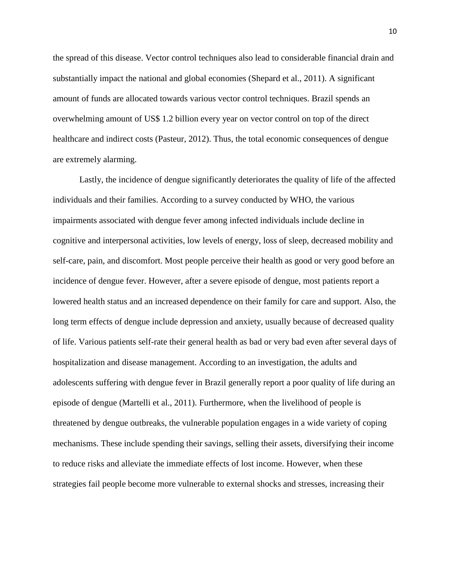the spread of this disease. Vector control techniques also lead to considerable financial drain and substantially impact the national and global economies (Shepard et al., 2011). A significant amount of funds are allocated towards various vector control techniques. Brazil spends an overwhelming amount of US\$ 1.2 billion every year on vector control on top of the direct healthcare and indirect costs (Pasteur, 2012). Thus, the total economic consequences of dengue are extremely alarming.

Lastly, the incidence of dengue significantly deteriorates the quality of life of the affected individuals and their families. According to a survey conducted by WHO, the various impairments associated with dengue fever among infected individuals include decline in cognitive and interpersonal activities, low levels of energy, loss of sleep, decreased mobility and self-care, pain, and discomfort. Most people perceive their health as good or very good before an incidence of dengue fever. However, after a severe episode of dengue, most patients report a lowered health status and an increased dependence on their family for care and support. Also, the long term effects of dengue include depression and anxiety, usually because of decreased quality of life. Various patients self-rate their general health as bad or very bad even after several days of hospitalization and disease management. According to an investigation, the adults and adolescents suffering with dengue fever in Brazil generally report a poor quality of life during an episode of dengue (Martelli et al., 2011). Furthermore, when the livelihood of people is threatened by dengue outbreaks, the vulnerable population engages in a wide variety of coping mechanisms. These include spending their savings, selling their assets, diversifying their income to reduce risks and alleviate the immediate effects of lost income. However, when these strategies fail people become more vulnerable to external shocks and stresses, increasing their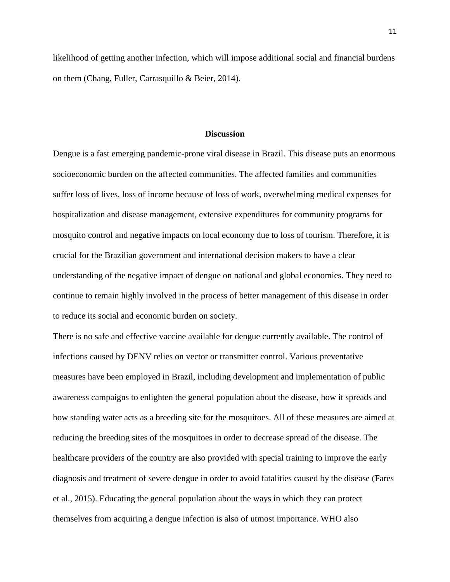likelihood of getting another infection, which will impose additional social and financial burdens on them (Chang, Fuller, Carrasquillo & Beier, 2014).

# **Discussion**

Dengue is a fast emerging pandemic-prone viral disease in Brazil. This disease puts an enormous socioeconomic burden on the affected communities. The affected families and communities suffer loss of lives, loss of income because of loss of work, overwhelming medical expenses for hospitalization and disease management, extensive expenditures for community programs for mosquito control and negative impacts on local economy due to loss of tourism. Therefore, it is crucial for the Brazilian government and international decision makers to have a clear understanding of the negative impact of dengue on national and global economies. They need to continue to remain highly involved in the process of better management of this disease in order to reduce its social and economic burden on society.

There is no safe and effective vaccine available for dengue currently available. The control of infections caused by DENV relies on vector or transmitter control. Various preventative measures have been employed in Brazil, including development and implementation of public awareness campaigns to enlighten the general population about the disease, how it spreads and how standing water acts as a breeding site for the mosquitoes. All of these measures are aimed at reducing the breeding sites of the mosquitoes in order to decrease spread of the disease. The healthcare providers of the country are also provided with special training to improve the early diagnosis and treatment of severe dengue in order to avoid fatalities caused by the disease (Fares et al., 2015). Educating the general population about the ways in which they can protect themselves from acquiring a dengue infection is also of utmost importance. WHO also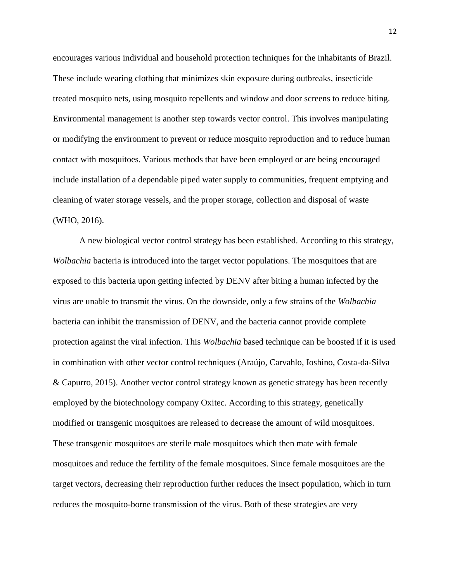encourages various individual and household protection techniques for the inhabitants of Brazil. These include wearing clothing that minimizes skin exposure during outbreaks, insecticide treated mosquito nets, using mosquito repellents and window and door screens to reduce biting. Environmental management is another step towards vector control. This involves manipulating or modifying the environment to prevent or reduce mosquito reproduction and to reduce human contact with mosquitoes. Various methods that have been employed or are being encouraged include installation of a dependable piped water supply to communities, frequent emptying and cleaning of water storage vessels, and the proper storage, collection and disposal of waste (WHO, 2016).

A new biological vector control strategy has been established. According to this strategy, *Wolbachia* bacteria is introduced into the target vector populations. The mosquitoes that are exposed to this bacteria upon getting infected by DENV after biting a human infected by the virus are unable to transmit the virus. On the downside, only a few strains of the *Wolbachia*  bacteria can inhibit the transmission of DENV, and the bacteria cannot provide complete protection against the viral infection. This *Wolbachia* based technique can be boosted if it is used in combination with other vector control techniques (Araújo, Carvahlo, Ioshino, Costa-da-Silva & Capurro, 2015). Another vector control strategy known as genetic strategy has been recently employed by the biotechnology company Oxitec. According to this strategy, genetically modified or transgenic mosquitoes are released to decrease the amount of wild mosquitoes. These transgenic mosquitoes are sterile male mosquitoes which then mate with female mosquitoes and reduce the fertility of the female mosquitoes. Since female mosquitoes are the target vectors, decreasing their reproduction further reduces the insect population, which in turn reduces the mosquito-borne transmission of the virus. Both of these strategies are very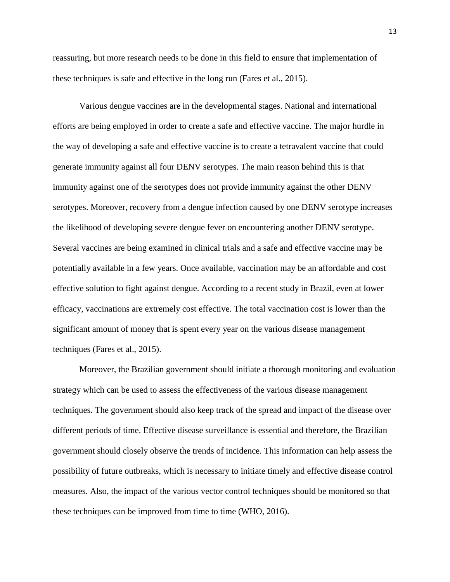reassuring, but more research needs to be done in this field to ensure that implementation of these techniques is safe and effective in the long run (Fares et al., 2015).

Various dengue vaccines are in the developmental stages. National and international efforts are being employed in order to create a safe and effective vaccine. The major hurdle in the way of developing a safe and effective vaccine is to create a tetravalent vaccine that could generate immunity against all four DENV serotypes. The main reason behind this is that immunity against one of the serotypes does not provide immunity against the other DENV serotypes. Moreover, recovery from a dengue infection caused by one DENV serotype increases the likelihood of developing severe dengue fever on encountering another DENV serotype. Several vaccines are being examined in clinical trials and a safe and effective vaccine may be potentially available in a few years. Once available, vaccination may be an affordable and cost effective solution to fight against dengue. According to a recent study in Brazil, even at lower efficacy, vaccinations are extremely cost effective. The total vaccination cost is lower than the significant amount of money that is spent every year on the various disease management techniques (Fares et al., 2015).

Moreover, the Brazilian government should initiate a thorough monitoring and evaluation strategy which can be used to assess the effectiveness of the various disease management techniques. The government should also keep track of the spread and impact of the disease over different periods of time. Effective disease surveillance is essential and therefore, the Brazilian government should closely observe the trends of incidence. This information can help assess the possibility of future outbreaks, which is necessary to initiate timely and effective disease control measures. Also, the impact of the various vector control techniques should be monitored so that these techniques can be improved from time to time (WHO, 2016).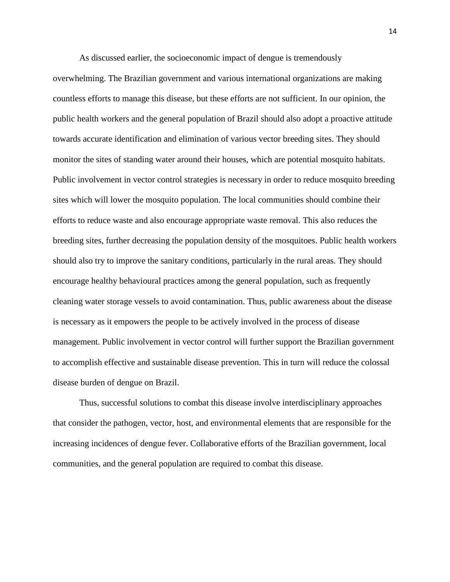As discussed earlier, the socioeconomic impact of dengue is tremendously overwhelming. The Brazilian government and various international organizations are making countless efforts to manage this disease, but these efforts are not sufficient. In our opinion, the public health workers and the general population of Brazil should also adopt a proactive attitude towards accurate identification and elimination of various vector breeding sites. They should monitor the sites of standing water around their houses, which are potential mosquito habitats. Public involvement in vector control strategies is necessary in order to reduce mosquito breeding sites which will lower the mosquito population. The local communities should combine their efforts to reduce waste and also encourage appropriate waste removal. This also reduces the breeding sites, further decreasing the population density of the mosquitoes. Public health workers should also try to improve the sanitary conditions, particularly in the rural areas. They should encourage healthy behavioural practices among the general population, such as frequently cleaning water storage vessels to avoid contamination. Thus, public awareness about the disease is necessary as it empowers the people to be actively involved in the process of disease management. Public involvement in vector control will further support the Brazilian government to accomplish effective and sustainable disease prevention. This in turn will reduce the colossal disease burden of dengue on Brazil.

Thus, successful solutions to combat this disease involve interdisciplinary approaches that consider the pathogen, vector, host, and environmental elements that are responsible for the increasing incidences of dengue fever. Collaborative efforts of the Brazilian government, local communities, and the general population are required to combat this disease.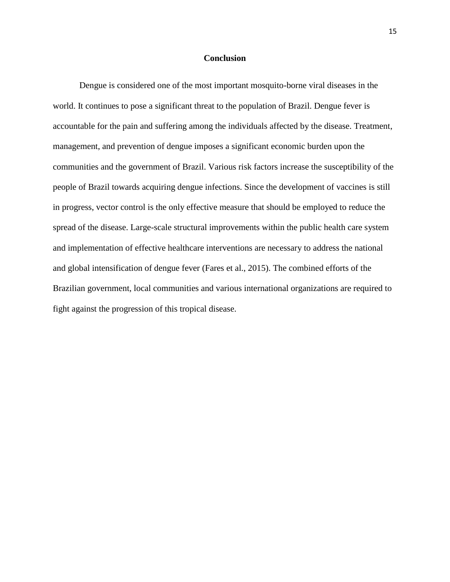# **Conclusion**

Dengue is considered one of the most important mosquito-borne viral diseases in the world. It continues to pose a significant threat to the population of Brazil. Dengue fever is accountable for the pain and suffering among the individuals affected by the disease. Treatment, management, and prevention of dengue imposes a significant economic burden upon the communities and the government of Brazil. Various risk factors increase the susceptibility of the people of Brazil towards acquiring dengue infections. Since the development of vaccines is still in progress, vector control is the only effective measure that should be employed to reduce the spread of the disease. Large-scale structural improvements within the public health care system and implementation of effective healthcare interventions are necessary to address the national and global intensification of dengue fever (Fares et al., 2015). The combined efforts of the Brazilian government, local communities and various international organizations are required to fight against the progression of this tropical disease.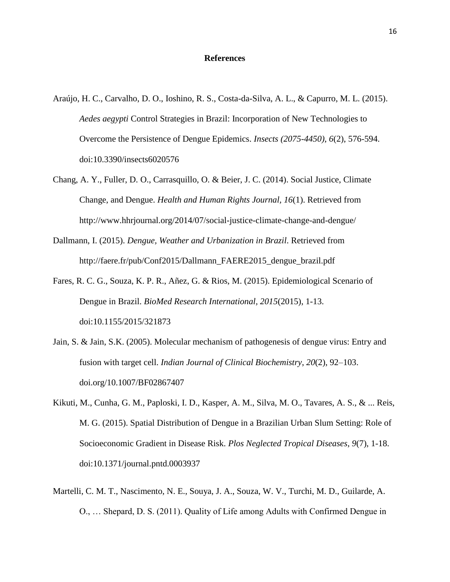### **References**

- Araújo, H. C., Carvalho, D. O., Ioshino, R. S., Costa-da-Silva, A. L., & Capurro, M. L. (2015). *Aedes aegypti* Control Strategies in Brazil: Incorporation of New Technologies to Overcome the Persistence of Dengue Epidemics. *Insects (2075-4450)*, *6*(2), 576-594. doi:10.3390/insects6020576
- Chang, A. Y., Fuller, D. O., Carrasquillo, O. & Beier, J. C. (2014). Social Justice, Climate Change, and Dengue. *Health and Human Rights Journal, 16*(1). Retrieved from http://www.hhrjournal.org/2014/07/social-justice-climate-change-and-dengue/
- Dallmann, I. (2015). *Dengue, Weather and Urbanization in Brazil*. Retrieved from http://faere.fr/pub/Conf2015/Dallmann\_FAERE2015\_dengue\_brazil.pdf
- Fares, R. C. G., Souza, K. P. R., Añez, G. & Rios, M. (2015). Epidemiological Scenario of Dengue in Brazil. *BioMed Research International, 2015*(2015), 1-13. doi:10.1155/2015/321873
- Jain, S. & Jain, S.K. (2005). Molecular mechanism of pathogenesis of dengue virus: Entry and fusion with target cell. *Indian Journal of Clinical Biochemistry*, *20*(2), 92–103. doi.org/10.1007/BF02867407
- Kikuti, M., Cunha, G. M., Paploski, I. D., Kasper, A. M., Silva, M. O., Tavares, A. S., & ... Reis, M. G. (2015). Spatial Distribution of Dengue in a Brazilian Urban Slum Setting: Role of Socioeconomic Gradient in Disease Risk. *Plos Neglected Tropical Diseases*, *9*(7), 1-18. doi:10.1371/journal.pntd.0003937
- Martelli, C. M. T., Nascimento, N. E., Souya, J. A., Souza, W. V., Turchi, M. D., Guilarde, A. O., … Shepard, D. S. (2011). Quality of Life among Adults with Confirmed Dengue in